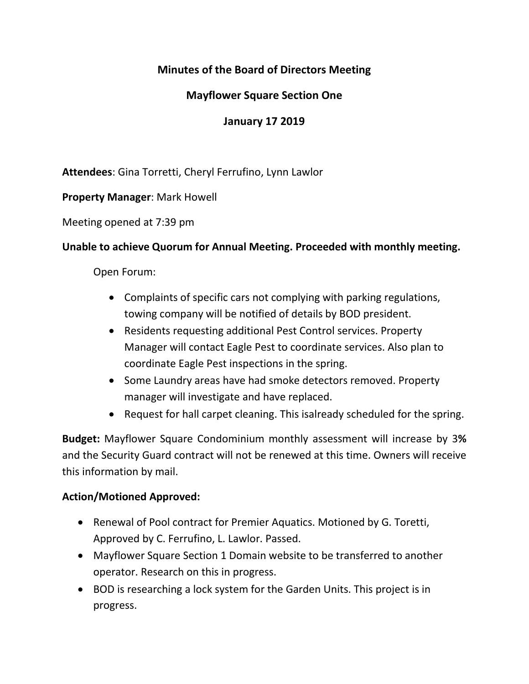# **Minutes of the Board of Directors Meeting**

# **Mayflower Square Section One**

## **January 17 2019**

**Attendees**: Gina Torretti, Cheryl Ferrufino, Lynn Lawlor

**Property Manager**: Mark Howell

Meeting opened at 7:39 pm

#### **Unable to achieve Quorum for Annual Meeting. Proceeded with monthly meeting.**

Open Forum:

- Complaints of specific cars not complying with parking regulations, towing company will be notified of details by BOD president.
- Residents requesting additional Pest Control services. Property Manager will contact Eagle Pest to coordinate services. Also plan to coordinate Eagle Pest inspections in the spring.
- Some Laundry areas have had smoke detectors removed. Property manager will investigate and have replaced.
- Request for hall carpet cleaning. This isalready scheduled for the spring.

**Budget:** Mayflower Square Condominium monthly assessment will increase by 3**%**  and the Security Guard contract will not be renewed at this time. Owners will receive this information by mail.

### **Action/Motioned Approved:**

- Renewal of Pool contract for Premier Aquatics. Motioned by G. Toretti, Approved by C. Ferrufino, L. Lawlor. Passed.
- Mayflower Square Section 1 Domain website to be transferred to another operator. Research on this in progress.
- BOD is researching a lock system for the Garden Units. This project is in progress.